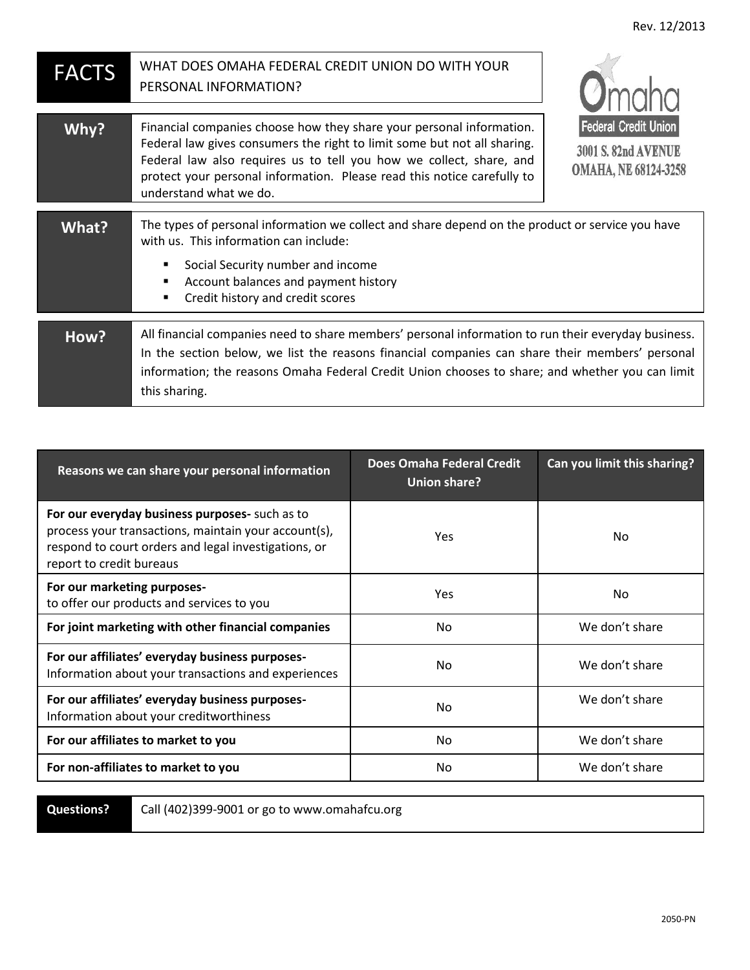| <b>FACTS</b> | WHAT DOES OMAHA FEDERAL CREDIT UNION DO WITH YOUR<br>PERSONAL INFORMATION?                                                                                                                                                                                                                                                   | <b>O</b> maha                                                                            |
|--------------|------------------------------------------------------------------------------------------------------------------------------------------------------------------------------------------------------------------------------------------------------------------------------------------------------------------------------|------------------------------------------------------------------------------------------|
| Why?         | Financial companies choose how they share your personal information.<br>Federal law gives consumers the right to limit some but not all sharing.<br>Federal law also requires us to tell you how we collect, share, and<br>protect your personal information. Please read this notice carefully to<br>understand what we do. | <b>Federal Credit Union</b><br><b>3001 S. 82nd AVENUE</b><br><b>OMAHA, NE 68124-3258</b> |
| <b>What?</b> | The types of personal information we collect and share depend on the product or service you have<br>with us. This information can include:<br>Social Security number and income<br>٠<br>Account balances and payment history<br>٠<br>Credit history and credit scores<br>٠                                                   |                                                                                          |
| How?         | All financial companies need to share members' personal information to run their everyday business.<br>In the section below, we list the reasons financial companies can share their members' personal<br>information; the reasons Omaha Federal Credit Union chooses to share; and whether you can limit<br>this sharing.   |                                                                                          |

| Reasons we can share your personal information                                                                                                                                             | <b>Does Omaha Federal Credit</b><br>Union share? | Can you limit this sharing? |
|--------------------------------------------------------------------------------------------------------------------------------------------------------------------------------------------|--------------------------------------------------|-----------------------------|
| For our everyday business purposes- such as to<br>process your transactions, maintain your account(s),<br>respond to court orders and legal investigations, or<br>report to credit bureaus | Yes                                              | No                          |
| For our marketing purposes-<br>to offer our products and services to you                                                                                                                   | Yes                                              | No                          |
| For joint marketing with other financial companies                                                                                                                                         | No.                                              | We don't share              |
| For our affiliates' everyday business purposes-<br>Information about your transactions and experiences                                                                                     | No.                                              | We don't share              |
| For our affiliates' everyday business purposes-<br>Information about your creditworthiness                                                                                                 | No.                                              | We don't share              |
| For our affiliates to market to you                                                                                                                                                        | N <sub>o</sub>                                   | We don't share              |
| For non-affiliates to market to you                                                                                                                                                        | N <sub>o</sub>                                   | We don't share              |

**Questions?**

Call (402)399-9001 or go to www.omahafcu.org